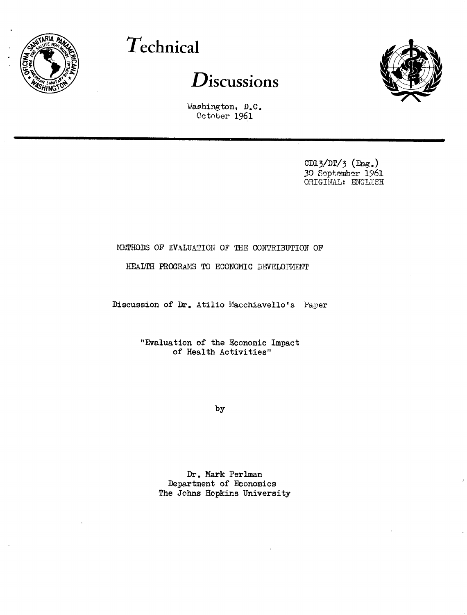

# **Technical**

## **Discussions**

**<sup>I</sup>**I - -



Washington, D.C. October 1961

> CD13/DT/3 (Eng.) 30 Soptember 1961 ORIGINAL: ENCLiSH

### METHODS OF EVALUATION OF THE CONTRIBUTION OF

#### HEALTH PROGRAMS TO ECONOMIC DEVELOPMENT

Discussion of Dr. Atilio Macchiavello's Paper

"Evaluation of the Economic Impact of Health Activities"

by

Dr. Mark Perlman Department of Economics The Johns Hopkins University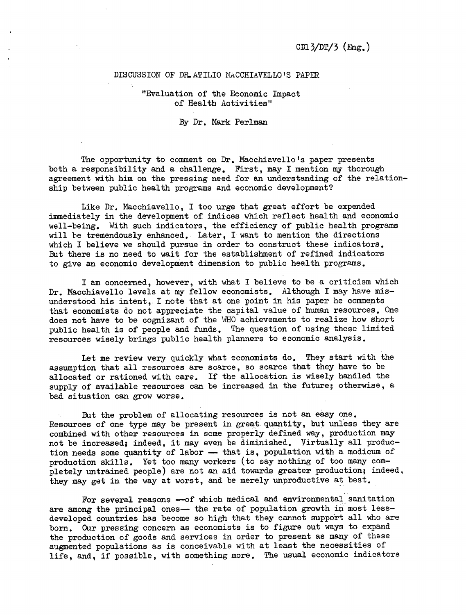#### DISCUSSION OF DR. ATILIO MACCHIAVELLO'S PAPER

"Evaluation of the Economic Impact of Health Activities"

By Dr. Mark Perlman

The opportunity to comment on Dr. Macchiavello's paper presents both a responsibility and a challenge. First, may I mention my thorough agreement with him on the pressing need for an understanding of the relationship between public health programs and economic development?

Like Dr. Macchiavello, I too urge that great effort be expended immediately in the development of indices which reflect health and economic well-being. With such indicators, the efficiency of public health programs will be tremendously enhanced. Later, I want to mention the directions which I believe we should pursue in order to construct these indicators. But there is no need to wait for the establishment of refined indicators to give an economic development dimension to public health programs.

I am concerned, however, with what I believe to be a criticism which Dr. Macchiavello levels at my fellow economists. Although I may have misunderstood his intent, I note that at one point in his paper he comments that economists do not appreciate the capital value of human resources. One does not have to be cognizant of the WHO achievements to realize how short public health is of people and funds. The question of using these limited resources wisely brings public health planners to economic analysis.

Let me review very quickly what economists do. They start with the assumption that all resources are scarce, so scarce that they have to be allocated or rationed with care. If the allocation is wisely handled the supply of available resources can be increased in the future; otherwise, a bad situation can grow worse.

But the problem of allocating resources is not an easy one. Resources of one type may be present in great quantity, but unless they are combined with other resources in some properly defined way, production may not be increased; indeed, it may even be diminished. Virtually all production needs some quantity of labor - that is, population with a modicum of production skills. Yet too many workers (to say nothing of too many completely untrained people) are not an aid towards greater production; indeed, they may get in the way at worst, and be merely unproductive at best.

For several reasons -- of which medical and environmental sanitation are among the principal ones- the rate of population growth in most lessdeveloped countries has become so high that they cannot support all who are born. Our pressing concern as economists is to figure out ways to expand the production of goods and services in order to present as many of these augmented populations as is conceivable with at least the necessities of life, and, if possible, with something more. The usual economic indicators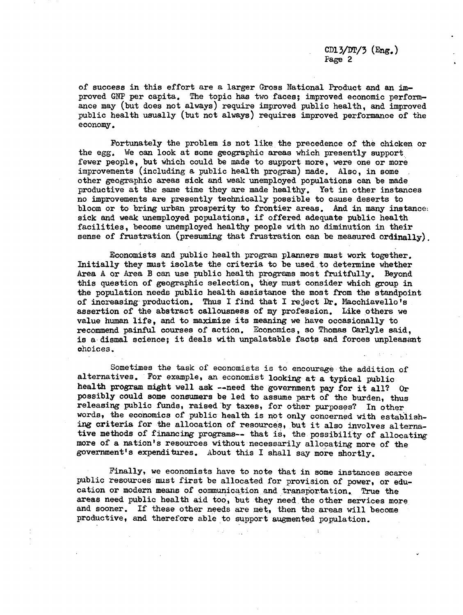of success in this effort are a larger Gross National Product and an improved GNP per capita. The topic has two faces; improved economic performance may (but does not always) require improved public health, and improved public health usually (but not always) requires improved performance of the economy.

Fortunately the problem is not like the precedence of the chicken or the egg. We can look at some geographic areas which presently support fewer people, but which could be made to support more, were one or more improvements (including a public health program) made. Also, in some other geographic areas sick and weak unemployed populations can be made productive at the same time they are made healthy. Yet in other instances no improvements are presently technically possible to cause deserts to bloom or to bring urban prosperity to frontier areas. And in many instance: sick and weak unemployed populations, if offered adequate public health facilities, become unemployed healthy people with no diminution in their sense of frustration (presuming that frustration can be measured ordinally).

Economists and public health program planners must work together. Initially they must isolate the criteria to be used to determine whether Area A or Area B can use public health programs most fruitfully. Beyond this question of geographic selection, they must consider which group in the population needs public health assistance the most from the standpoint of increasing production. Thus I find that I reject Dr. Macchiavello's assertion of the abstract callousness of my profession. Like others we value human life, and to maximize its meaning we have occasionally to recommend painful courses of action. Economics, so Thomas Carlyle said, is a dismal science; it deals with unpalatable facts and forces unpleasant choices.

Sometimes the task of economists is to encourage the addition of alternatives. For example, an economist looking at a typical public health program might well ask --need the government pay for it all? Or possibly could some consumers be led to assume part of the burden, thus releasing public funds, raised by taxes, for other purposes? In other words, the economics of public health is not only concerned with establishing criteria for the allocation of resources, but it also involves alternative methods of financing programs-- that is, the possibility of allocating more of a nation's resources without necessarily allocating more of the government's expenditures. About this I shall say more shortly.

Finally, we economists have to note that in some instances scarce public resources must first be allocated for provision of power, or education or modern means of communication and transportation. True the areas need public health aid too, but they need the other services more and sooner. If these other needs are met, then the areas will become productive, and therefore able to support augmented population.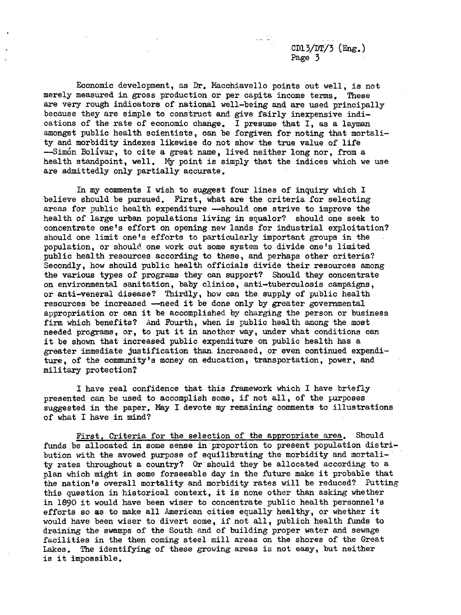CD13/DT/3  $(Eng.)$ Page 3

Economic development, as Dr. Macchiavello points out well, is not merely measured in gross production or per capita income terms. These are very rough indicators of national well-being and are used principally because they are simple to construct and give fairly inexpensive indications of the rate of economic change. I presume that I, as a layman amongst public health scientists, can be forgiven for noting that mortality and morbidity indexes likewise do not show the true value of life --Simón Bolívar, to cite a great name, lived neither long nor, from a health standpoint, well. My point is simply that the indices which we use are admittedly only partially accurate.

In my comments I wish to suggest four lines of inquiry which I believe should be pursued. First, what are the criteria for selecting areas for public health expenditure --should one strive to improve the health of large urban populations living in squalor? should one seek to concentrate one's effort on opening new lands for industrial exploitation? should one limit one's efforts to particularly important groups in the population, or should. one work out some system to divide one's limited public health resources according to these, and perhaps other criteria? Secondly, how should public health officials divide their resources among the various types of programs they can support? Should they concentrate on environmental sanitation, baby clinics, anti-tuberculosis campaigns, or anti-veneral disease? Thirdly, how can the supply of public health resources be increased --need it be done only by greater governmental appropriation or can it be accomplished by charging the person or business firm which benefits? And Fourth, when is public health among the most needed programs, or, to put it in another way, under what conditions can it be shown that increased public expenditure on public health has a greater immediate justification than increased, or even continued expenditure, of the community's money on education, transportation, power, and military protection?

I have real confidence that this framework which I have briefly presented can be used to accomplish some, if not all, of the purposes suggested in the paper. May I devote my remaining comments to illustrations of what I have in mind?

First. Criteria for the selection of the appropriate area. Should funds be allocated in some sense in proportion to present population distribution with the avowed purpose of equilibrating the morbidity and mortality rates throughout a country? Or should they be allocated according to a plan which might in some forseeable day in the future make it probable that the nation's overall mortality and morbidity rates will be reduced? Putting this question in historical context, it is none other than asking whether in 1890 it would have been wiser to concentrate public health personnel's efforts so as to make all American cities equally healthy, or whether it would have been wiser to divert some, if not all, publich health funds to draining the swamps of the South and of building proper water and sewage facilities in the then coming steel mill areas on the shores of the Great Lakes. The identifying of these growing areas is not easy, but neither is it impossible.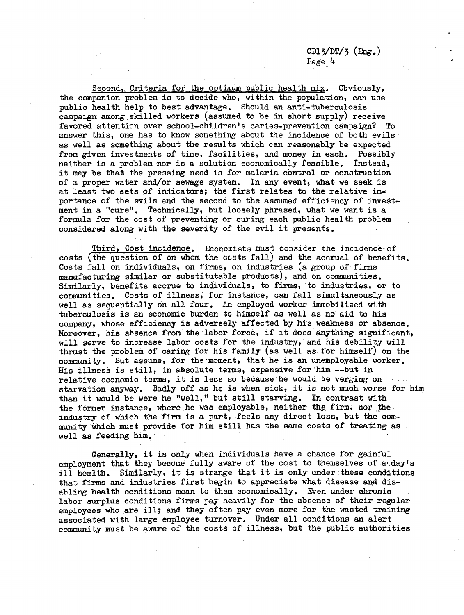Second, Criteria for the optimum public health mix. Obviously, the companion problem is to decide who, within the population, can use public health help to best advantage. Should an anti-tuberculosis campaign among skilled workers (assumed to be in short supply) receive favored attention over school-children's caries-prevention campaign? To answer this, one has to know something about the incidence of both evils as well as something about the results which can reasonably be expected from given investments of time, facilities, and money in each. Possibly neither is a problem nor is a solution economically feasible. Instead, it may be that the pressing need is for malaria control or construction of a proper water and/or sewage system. In any event, what we seek is at least two sets of indicators; the first relates to the relative importance of the evils and the second to the assumed efficiency of investment in a "cure". Technically, but loosely phrased, what we want is a formula for the cost of preventing or curing each public health problem considered along with the severity of the evil it presents.

Third, Cost incidence. Economists must consider the incidence-of costs (the question of on whom the ccsts fall) and the accrual of benefits. Costs fall on individuals, on firms, on industries (a group of firms manufacturing similar or substitutable products), and on communities. Similarly, benefits accrue to individuals, to firms, to industries, or to communities. Costs of illness, for instance, can fall simultaneously as well as sequentially on all four. An employed worker immobilized with tuberculosis is an economic burden to himself as well as no aid to his company, whose efficiency is adversely affected by his weakness or absence. Moreover, his absence from the labor force, if it does anything significant, will serve to increase labor costs for the industry, and his debility will thrust the problem of caring for his family (as well as for himself) on the community. But assume, for the moment, that he is an unemployable worker. His illness is still, in absolute terms, expensive for him --but in relative economic terms, it is less so because'he would be verging on starvation anyway. Badly off as he is when sick, it is not much worse for him than it would be were he "well," but still starving. In contrast with the former instance, where he was employable, neither the firm; nor the industry of which the firm is a part, feels any direct loss, but the community which must provide for him still has the same costs of treating as well as feeding him.

Generally, it is only when individuals have a chance for gainful employment that they become fully aware of the cost to themselves of a day's ill health. Similarly, it is strange that it is only under these conditions that firms and industries first begin to appreciate what disease and disabling health conditions mean to them economically. Even under chronic labor surplus conditions firms pay heavily for the absence of their regular employees who are ill; and they often pay even more for the wasted training associated with large employee turnover. Under all conditions an alert community must be aware of the costs of illness, but the public authorities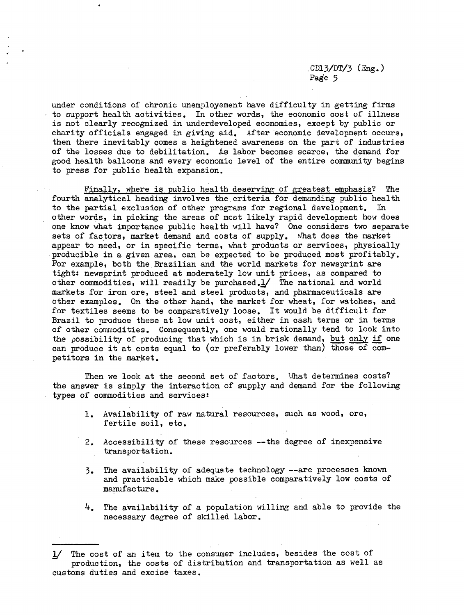$CD13/DT/3$  (Eng.) Page 5

under conditions of chronic unemployement have difficulty in getting firms to support health activities. In other words, the economic cost of illness is not clearly recognized in underdeveloped economies, except by public or charity officials engaged in giving aid. After economic development occurs, then there inevitably comes a heightened awareness on the part of industries of the losses due to debilitation. As labor becomes scarce, the demand for good health balloons and every economic level of the entire community begins to press for public health expansion.

Finally, where is public health deserving of greatest emphasis? The fourth analytical heading involves the criteria for demanding public health to the partial exclusion of other programs for regional development. In other words, in picking the areas of most likely rapid development how does one know what importance public health will have? One considers two separate sets of factors, market demand and costs of supply. What does the market appear to need, or in specific terms, what products or services, physically producible in a given area, can be expected to be produced most profitably. For example, both the Brazilian and the world markets for newsprint are tight: newsprint produced at moderately low unit prices, as compared to other commodities, will readily be purchased.l/ The national and world markets for iron ore, steel and steel products, and pharmaceuticals are other examples. On the other hand, the market for wheat, for watches, and for textiles seems to be comparatively loose. It would be difficult for Brazil to produce these at low unit cost, either in cash terms or in terms of other commodities. Consequently, one would rationally tend to look into the possibility of producing that which is in brisk demand, but only if one can produce it at costs equal to (or preferably lower than) those of competitors in the market.

Then we look at the second set of factors. What determines costs? the answer is simply the interaction of supply and demand for the following types of commodities and services:

- 1. Availability of raw natural resources, such as wood, ore, fertile soil, etc.
- 2. Accessibility of these resources --the degree of inexpensive transportation.
- 3. The availability of adequate technology --are processes known and practicable which make possible comparatively low costs of manufacture.
- 4. The availability of a population willing and able to provide the necessary degree of skilled labor.

The cost of an item to the consumer includes, besides the cost of production, the costs of distribution and transportation as well as customs duties and excise taxes.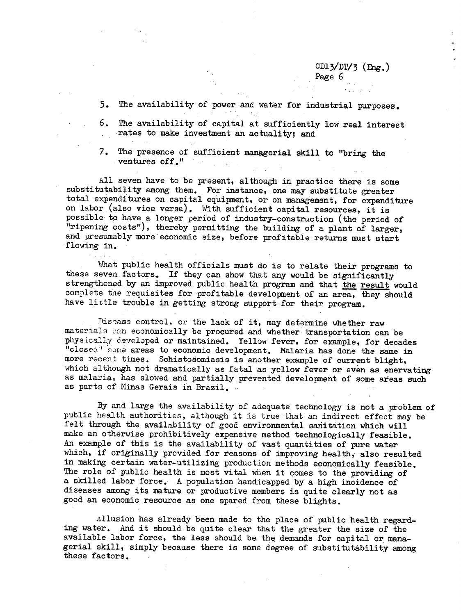CD13/DT/3 (Eng.)

Page 6

- 5. The availability of power and water for industrial purposes.
- 6. The availability of capital at sufficiently low real interest rates to make investment an actuality; and
- 7. The presence of sufficient managerial skill to "bring the ventures off."

All seven have to be present, although in practice there is some substitutability among them. For instance, one may substitute greater total expenditures on capital equipment, or on management, for expenditure on labor (also vice versa). With sufficient capital resources, it is possible' to have a longer period of industry-construction (the period of "ripening costs"), thereby permitting the building of a plant of larger, and presumably more economic size, before profitable returns must start flowing in.

What public health officials must do is to relate their programs to these seven factors. If they can show that any would be significantly strengthened by an improved public health program and that the result would complete the requisites for profitable development of an area, they should have little trouble in getting strong support for their program.

Disease control, or the lack of it, may determine whether raw materials can economically be procured and whether transportation can be physically developed or maintained. Yellow fever, for example, for decades "closed" some areas to economic development. Malaria has done the same in more recent times. Schistosomiasis is another example of current blight, which although not dramatically as fatal as yellow fever or even as enervating as malaria, has slowed and partially prevented development of some areas such as parts of Minas Gerais in Brazil.

By and large the availability of adequate technology is not a problem of public health authorities, although it is true that an indirect effect may be felt through the availability of good environmental sanitation which will make an otherwise prohibitively expensive method technologically feasible. An example of this is the availability of vast quantities of pure water which, if originally provided for reasons of improving health, also resulted in making certain water-utilizing production methods economically feasible. The role of public health is most vital when it comes to the providing of a skilled labor force. A population handicapped by a high incidence of diseases among its mature or productive members is quite clearly not as good an economic resource as one spared from these blights.

Allusion has already been made to the place of public health regarding water. And it should be quite clear that the greater the size of the available labor force, the less should be the demands for capital or managerial skill, simply because there is some degree of substitutability among these factors.